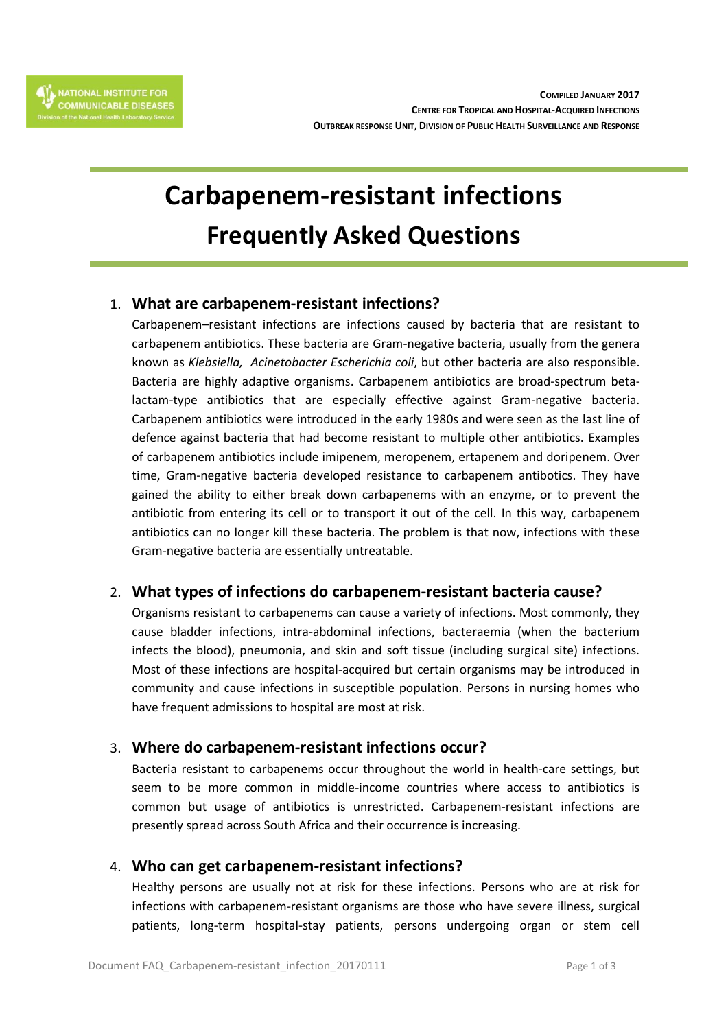# **Carbapenem-resistant infections Frequently Asked Questions**

## 1. **What are carbapenem-resistant infections?**

Carbapenem–resistant infections are infections caused by bacteria that are resistant to carbapenem antibiotics. These bacteria are Gram-negative bacteria, usually from the genera known as *Klebsiella, Acinetobacter Escherichia coli*, but other bacteria are also responsible. Bacteria are highly adaptive organisms. Carbapenem antibiotics are broad-spectrum betalactam-type antibiotics that are especially effective against Gram-negative bacteria. Carbapenem antibiotics were introduced in the early 1980s and were seen as the last line of defence against bacteria that had become resistant to multiple other antibiotics. Examples of carbapenem antibiotics include imipenem, meropenem, ertapenem and doripenem. Over time, Gram-negative bacteria developed resistance to carbapenem antibotics. They have gained the ability to either break down carbapenems with an enzyme, or to prevent the antibiotic from entering its cell or to transport it out of the cell. In this way, carbapenem antibiotics can no longer kill these bacteria. The problem is that now, infections with these Gram-negative bacteria are essentially untreatable.

## 2. **What types of infections do carbapenem-resistant bacteria cause?**

Organisms resistant to carbapenems can cause a variety of infections. Most commonly, they cause bladder infections, intra-abdominal infections, bacteraemia (when the bacterium infects the blood), pneumonia, and skin and soft tissue (including surgical site) infections. Most of these infections are hospital-acquired but certain organisms may be introduced in community and cause infections in susceptible population. Persons in nursing homes who have frequent admissions to hospital are most at risk.

## 3. **Where do carbapenem-resistant infections occur?**

Bacteria resistant to carbapenems occur throughout the world in health-care settings, but seem to be more common in middle-income countries where access to antibiotics is common but usage of antibiotics is unrestricted. Carbapenem-resistant infections are presently spread across South Africa and their occurrence is increasing.

## 4. **Who can get carbapenem-resistant infections?**

Healthy persons are usually not at risk for these infections. Persons who are at risk for infections with carbapenem-resistant organisms are those who have severe illness, surgical patients, long-term hospital-stay patients, persons undergoing organ or stem cell